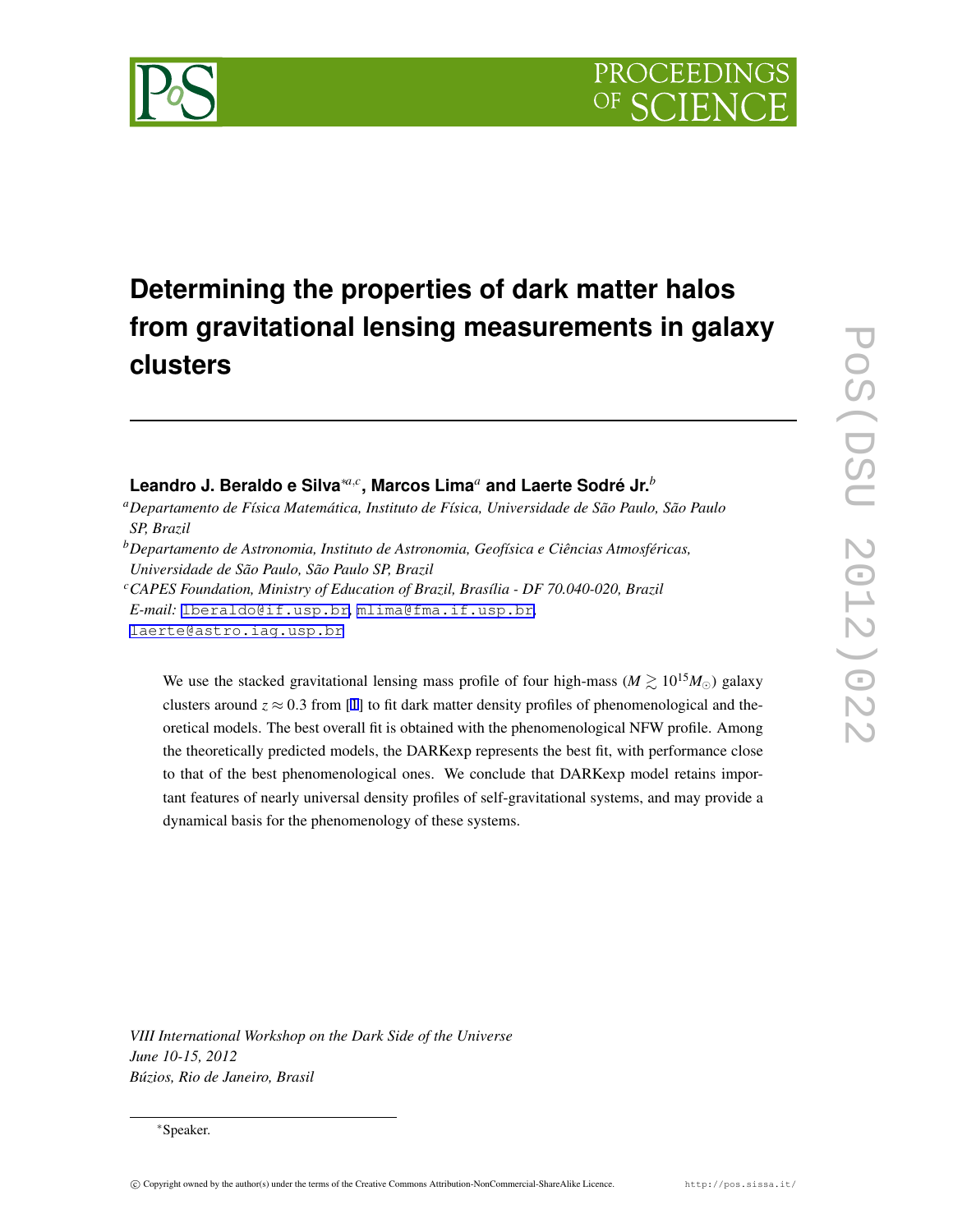

# **Determining the properties of dark matter halos from gravitational lensing measurements in galaxy clusters**

# **Leandro J. Beraldo e Silva***∗a,<sup>c</sup>* **, Marcos Lima***<sup>a</sup>* **and Laerte Sodré Jr.***<sup>b</sup>*

*<sup>a</sup>Departamento de Física Matemática, Instituto de Física, Universidade de São Paulo, São Paulo SP, Brazil*

*<sup>b</sup>Departamento de Astronomia, Instituto de Astronomia, Geofísica e Ciências Atmosféricas, Universidade de São Paulo, São Paulo SP, Brazil*

*<sup>c</sup>CAPES Foundation, Ministry of Education of Brazil, Brasília - DF 70.040-020, Brazil*

*E-mail:* [lberaldo@if.usp.br](mailto:lberaldo@if.usp.br)*,* [mlima@fma.if.usp.br](mailto:mlima@fma.if.usp.br)*,*

[laerte@astro.iag.usp.br](mailto:laerte@astro.iag.usp.br)

We use the stacked gravitational lensing mass profile of four high-mass ( $M \gtrsim 10^{15} M_{\odot}$ ) galaxy clusters around  $z \approx 0.3$  from [\[1](#page-6-0)] to fit dark matter density profiles of phenomenological and theoretical models. The best overall fit is obtained with the phenomenological NFW profile. Among the theoretically predicted models, the DARKexp represents the best fit, with performance close to that of the best phenomenological ones. We conclude that DARKexp model retains important features of nearly universal density profiles of self-gravitational systems, and may provide a dynamical basis for the phenomenology of these systems.

*VIII International Workshop on the Dark Side of the Universe*

*June 10-15, 2012 Búzios, Rio de Janeiro, Brasil*

*<sup>∗</sup>*Speaker.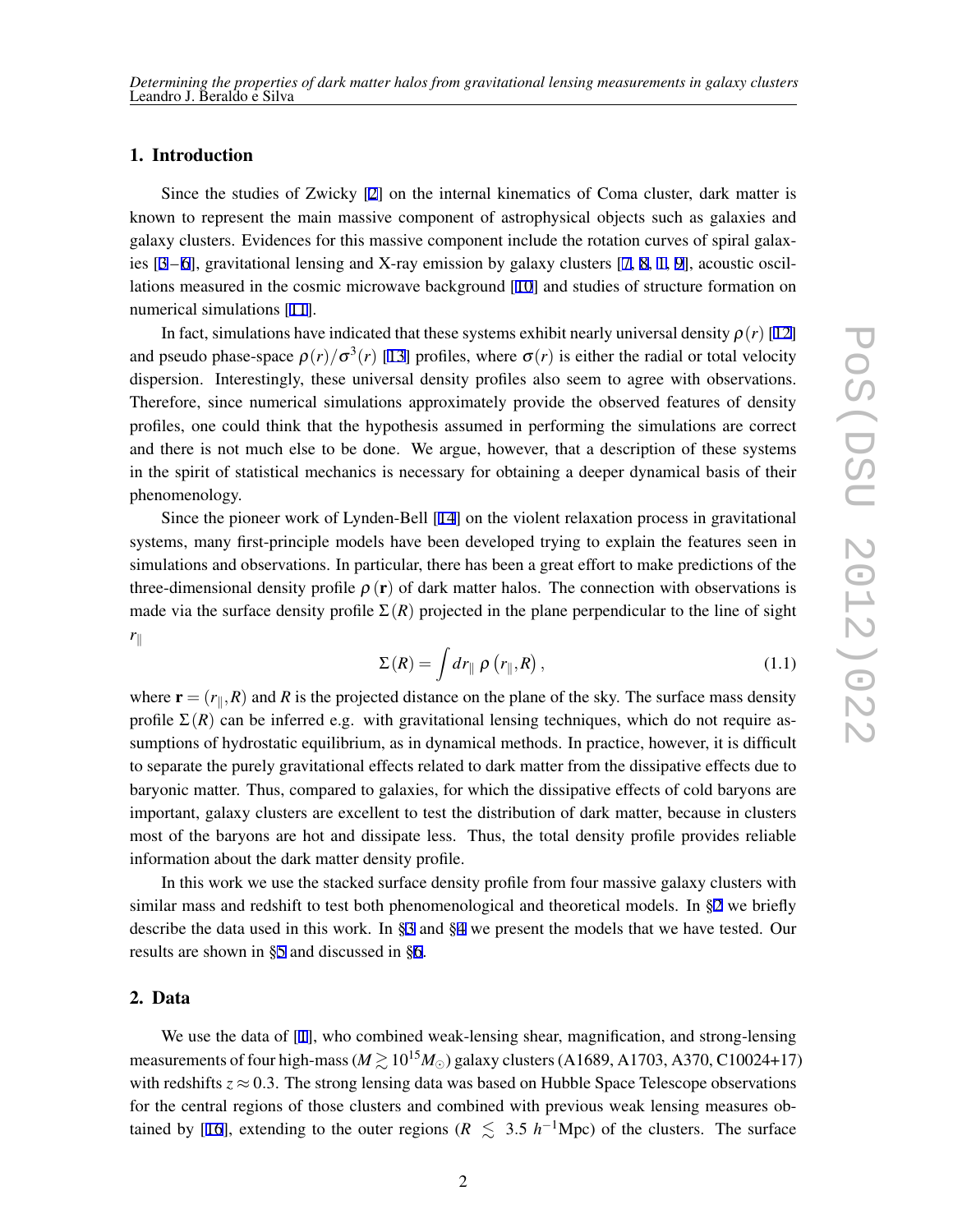# <span id="page-1-0"></span>1. Introduction

Since the studies of Zwicky [\[2\]](#page-6-0) on the internal kinematics of Coma cluster, dark matter is known to represent the main massive component of astrophysical objects such as galaxies and galaxy clusters. Evidences for this massive component include the rotation curves of spiral galaxies [\[3](#page-6-0) – [6](#page-6-0)], gravitational lensing and X-ray emission by galaxy clusters [[7](#page-7-0), [8,](#page-7-0) [1,](#page-6-0) [9](#page-7-0)], acoustic oscillations measured in the cosmic microwave background [[10](#page-7-0)] and studies of structure formation on numerical simulations [\[11](#page-7-0)].

In fact, simulations have indicated that these systems exhibit nearly universal density  $\rho(r)$  [\[12](#page-7-0)] and pseudo phase-space  $\rho(r)/\sigma^3(r)$  [\[13](#page-7-0)] profiles, where  $\sigma(r)$  is either the radial or total velocity dispersion. Interestingly, these universal density profiles also seem to agree with observations. Therefore, since numerical simulations approximately provide the observed features of density profiles, one could think that the hypothesis assumed in performing the simulations are correct and there is not much else to be done. We argue, however, that a description of these systems in the spirit of statistical mechanics is necessary for obtaining a deeper dynamical basis of their phenomenology.

Since the pioneer work of Lynden-Bell [[14\]](#page-7-0) on the violent relaxation process in gravitational systems, many first-principle models have been developed trying to explain the features seen in simulations and observations. In particular, there has been a great effort to make predictions of the three-dimensional density profile  $\rho(\mathbf{r})$  of dark matter halos. The connection with observations is made via the surface density profile  $\Sigma(R)$  projected in the plane perpendicular to the line of sight *r∥*

$$
\Sigma(R) = \int dr_{\parallel} \rho \left( r_{\parallel}, R \right), \qquad (1.1)
$$

where  $\mathbf{r} = (r_{\parallel}, R)$  and *R* is the projected distance on the plane of the sky. The surface mass density profile  $\Sigma(R)$  can be inferred e.g. with gravitational lensing techniques, which do not require assumptions of hydrostatic equilibrium, as in dynamical methods. In practice, however, it is difficult to separate the purely gravitational effects related to dark matter from the dissipative effects due to baryonic matter. Thus, compared to galaxies, for which the dissipative effects of cold baryons are important, galaxy clusters are excellent to test the distribution of dark matter, because in clusters most of the baryons are hot and dissipate less. Thus, the total density profile provides reliable information about the dark matter density profile.

In this work we use the stacked surface density profile from four massive galaxy clusters with similar mass and redshift to test both phenomenological and theoretical models. In §2 we briefly describe the data used in this work. In [§3](#page-2-0) and §[4](#page-2-0) we present the models that we have tested. Our results are shown in [§5](#page-4-0) and discussed in [§6.](#page-5-0)

# 2. Data

We use the data of [\[1\]](#page-6-0), who combined weak-lensing shear, magnification, and strong-lensing measurements of four high-mass ( $M \gtrsim 10^{15} M_{\odot}$ ) galaxy clusters (A1689, A1703, A370, C10024+17) with redshifts  $z \approx 0.3$ . The strong lensing data was based on Hubble Space Telescope observations for the central regions of those clusters and combined with previous weak lensing measures ob-tained by [\[16](#page-7-0)], extending to the outer regions ( $R \le 3.5 h^{-1}$ Mpc) of the clusters. The surface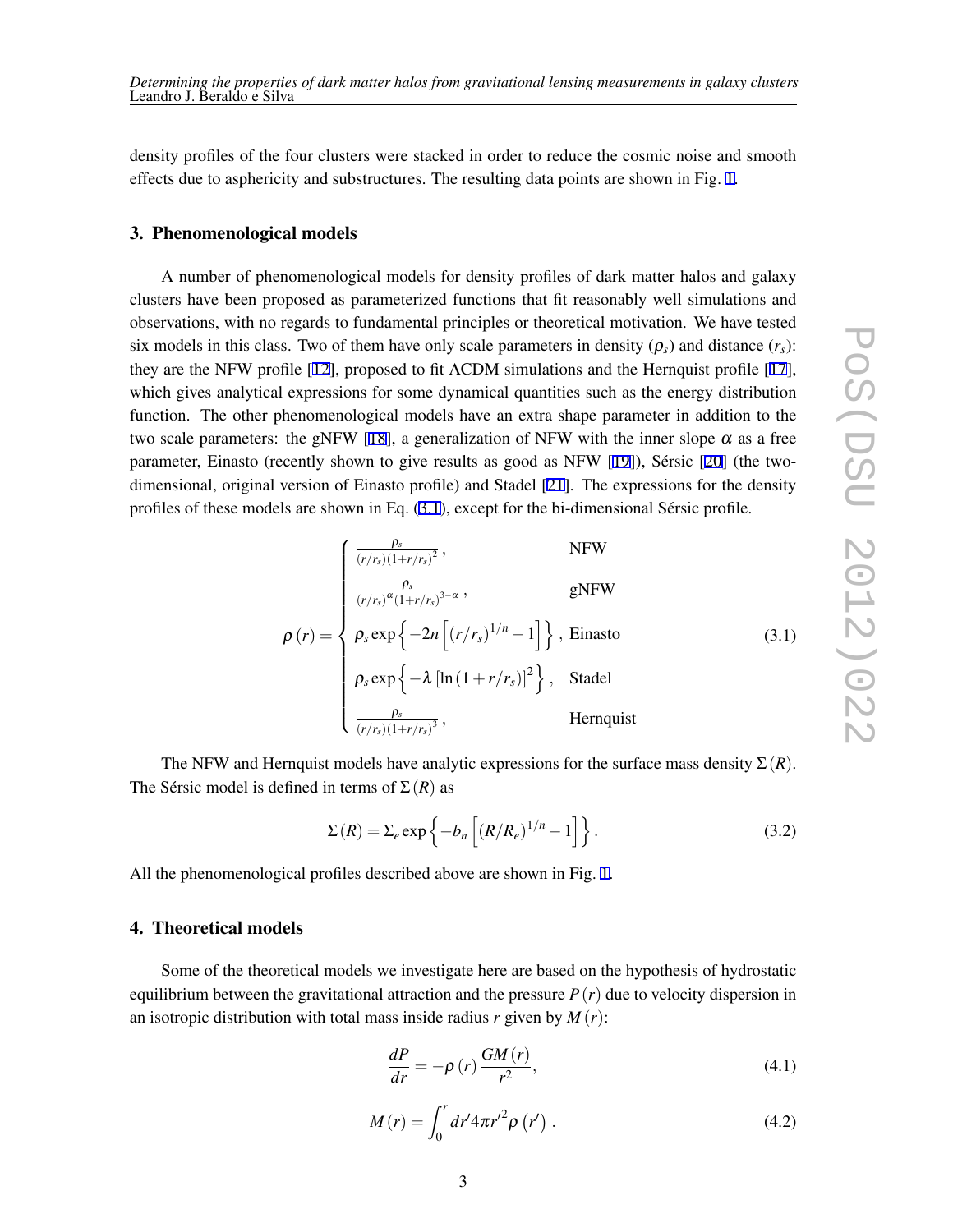<span id="page-2-0"></span>density profiles of the four clusters were stacked in order to reduce the cosmic noise and smooth effects due to asphericity and substructures. The resulting data points are shown in Fig. [1.](#page-5-0)

#### 3. Phenomenological models

A number of phenomenological models for density profiles of dark matter halos and galaxy clusters have been proposed as parameterized functions that fit reasonably well simulations and observations, with no regards to fundamental principles or theoretical motivation. We have tested six models in this class. Two of them have only scale parameters in density  $(\rho_s)$  and distance  $(r_s)$ : they are the NFW profile [[12\]](#page-7-0), proposed to fit ΛCDM simulations and the Hernquist profile [[17\]](#page-7-0), which gives analytical expressions for some dynamical quantities such as the energy distribution function. The other phenomenological models have an extra shape parameter in addition to the two scale parameters: the gNFW [\[18](#page-7-0)], a generalization of NFW with the inner slope  $\alpha$  as a free parameter, Einasto (recently shown to give results as good as NFW [[19\]](#page-7-0)), Sérsic [[20\]](#page-7-0) (the twodimensional, original version of Einasto profile) and Stadel [[21\]](#page-7-0). The expressions for the density profiles of these models are shown in Eq. (3.1), except for the bi-dimensional Sérsic profile.

$$
\rho(r) = \begin{cases}\n\frac{\rho_s}{(r/r_s)(1+r/r_s)^2}, & \text{NFW} \\
\frac{\rho_s}{(r/r_s)^{\alpha}(1+r/r_s)^{3-\alpha}}, & \text{gNFW} \\
\rho_s \exp\left\{-2n\left[(r/r_s)^{1/n}-1\right]\right\}, & \text{Einasto} \\
\rho_s \exp\left\{-\lambda\left[\ln\left(1+r/r_s\right)\right]^2\right\}, & \text{Stadel} \\
\frac{\rho_s}{(r/r_s)(1+r/r_s)^3}, & \text{Hernquist}\n\end{cases}
$$
\n(3.1)

The NFW and Hernquist models have analytic expressions for the surface mass density  $\Sigma(R)$ . The Sérsic model is defined in terms of  $\Sigma(R)$  as

$$
\Sigma(R) = \Sigma_e \exp\left\{-b_n\left[\left(R/R_e\right)^{1/n} - 1\right]\right\}.
$$
\n(3.2)

All the phenomenological profiles described above are shown in Fig. [1](#page-5-0).

## 4. Theoretical models

Some of the theoretical models we investigate here are based on the hypothesis of hydrostatic equilibrium between the gravitational attraction and the pressure  $P(r)$  due to velocity dispersion in an isotropic distribution with total mass inside radius  $r$  given by  $M(r)$ :

$$
\frac{dP}{dr} = -\rho(r)\frac{GM(r)}{r^2},\tag{4.1}
$$

$$
M(r) = \int_0^r dr' 4\pi r'^2 \rho (r') . \tag{4.2}
$$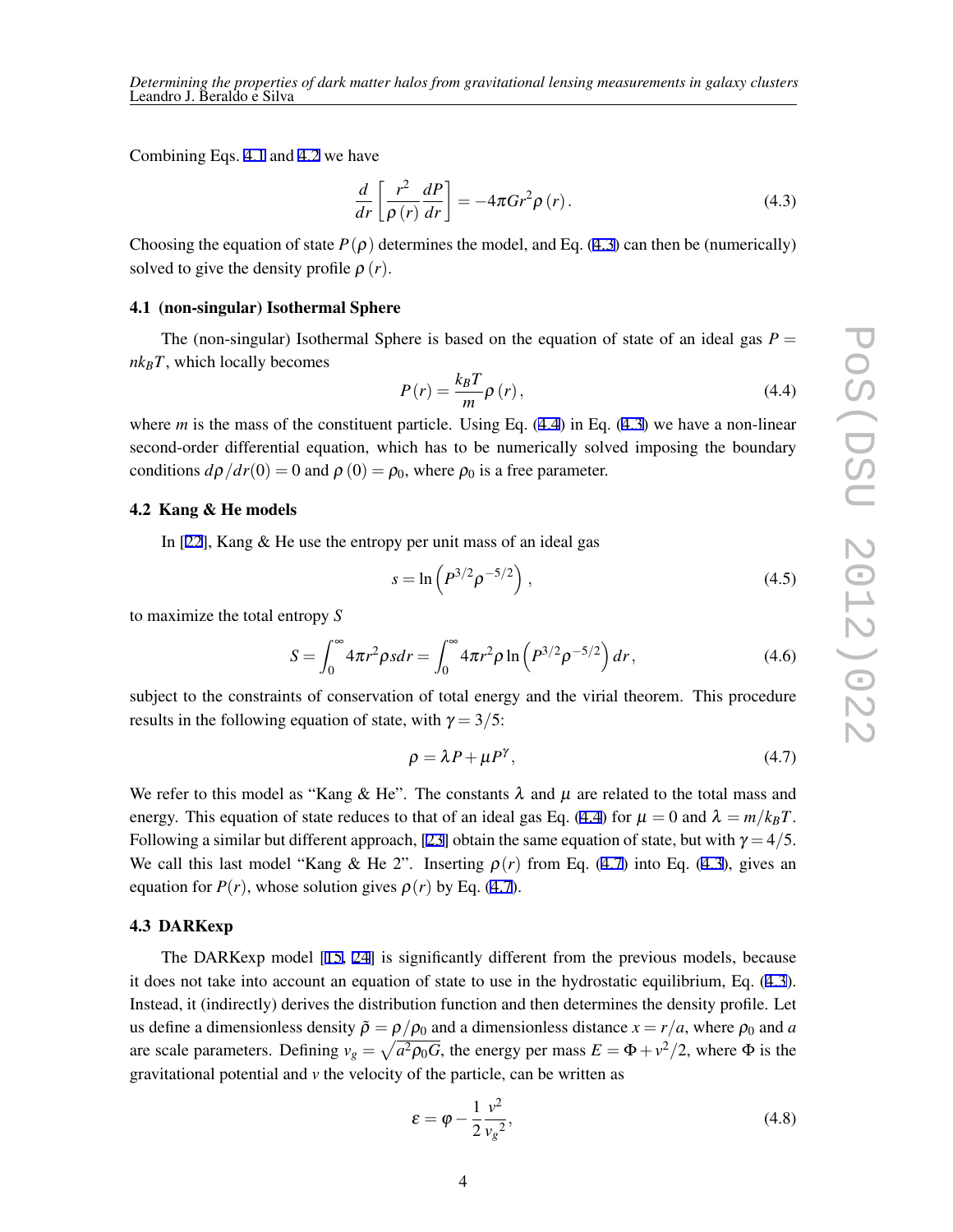*Determining the properties of dark matter halos from gravitational lensing measurements in galaxy clusters* Leandro J. Beraldo e Silva

Combining Eqs. [4.1](#page-2-0) and [4.2](#page-2-0) we have

$$
\frac{d}{dr}\left[\frac{r^2}{\rho\left(r\right)}\frac{dP}{dr}\right] = -4\pi G r^2 \rho\left(r\right). \tag{4.3}
$$

Choosing the equation of state  $P(\rho)$  determines the model, and Eq. (4.3) can then be (numerically) solved to give the density profile  $\rho(r)$ .

#### 4.1 (non-singular) Isothermal Sphere

The (non-singular) Isothermal Sphere is based on the equation of state of an ideal gas  $P =$  $nk_BT$ , which locally becomes

$$
P(r) = \frac{k_B T}{m} \rho(r),
$$
\n(4.4)

where *m* is the mass of the constituent particle. Using Eq.  $(4.4)$  in Eq.  $(4.3)$  we have a non-linear second-order differential equation, which has to be numerically solved imposing the boundary conditions  $d\rho/dr(0) = 0$  and  $\rho(0) = \rho_0$ , where  $\rho_0$  is a free parameter.

#### 4.2 Kang & He models

In [\[22](#page-7-0)], Kang & He use the entropy per unit mass of an ideal gas

$$
s = \ln \left( P^{3/2} \rho^{-5/2} \right), \tag{4.5}
$$

to maximize the total entropy *S*

$$
S = \int_0^\infty 4\pi r^2 \rho s dr = \int_0^\infty 4\pi r^2 \rho \ln \left( P^{3/2} \rho^{-5/2} \right) dr, \tag{4.6}
$$

subject to the constraints of conservation of total energy and the virial theorem. This procedure results in the following equation of state, with  $\gamma = 3/5$ :

$$
\rho = \lambda P + \mu P^{\gamma},\tag{4.7}
$$

We refer to this model as "Kang & He". The constants  $\lambda$  and  $\mu$  are related to the total mass and energy. This equation of state reduces to that of an ideal gas Eq. (4.4) for  $\mu = 0$  and  $\lambda = m/k_B T$ . Following a similar but different approach, [\[23](#page-7-0)] obtain the same equation of state, but with  $\gamma = 4/5$ . We call this last model "Kang & He 2". Inserting  $\rho(r)$  from Eq. (4.7) into Eq. (4.3), gives an equation for  $P(r)$ , whose solution gives  $\rho(r)$  by Eq. (4.7).

#### 4.3 DARKexp

The DARKexp model [\[15,](#page-7-0) [24\]](#page-7-0) is significantly different from the previous models, because it does not take into account an equation of state to use in the hydrostatic equilibrium, Eq. (4.3). Instead, it (indirectly) derives the distribution function and then determines the density profile. Let us define a dimensionless density  $\tilde{\rho} = \rho/\rho_0$  and a dimensionless distance  $x = r/a$ , where  $\rho_0$  and *a* are scale parameters. Defining  $v_g = \sqrt{a^2 \rho_0 G}$ , the energy per mass  $E = \Phi + v^2/2$ , where  $\Phi$  is the gravitational potential and *v* the velocity of the particle, can be written as

$$
\varepsilon = \varphi - \frac{1}{2} \frac{v^2}{v_g^2},\tag{4.8}
$$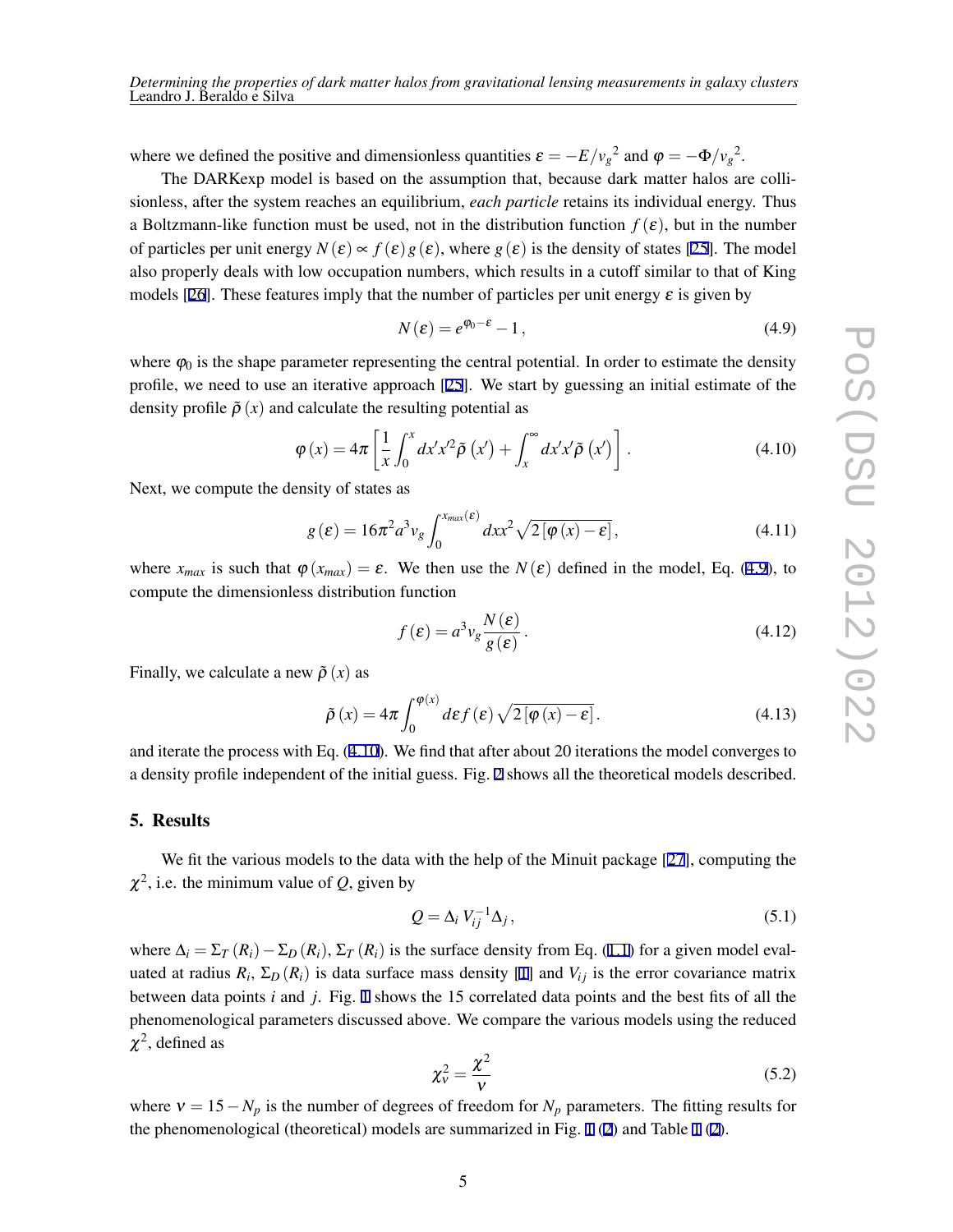<span id="page-4-0"></span>where we defined the positive and dimensionless quantities  $\varepsilon = -E/v_g^2$  and  $\varphi = -\Phi/v_g^2$ .

The DARKexp model is based on the assumption that, because dark matter halos are collisionless, after the system reaches an equilibrium, *each particle* retains its individual energy. Thus a Boltzmann-like function must be used, not in the distribution function  $f(\varepsilon)$ , but in the number of particles per unit energy  $N(\varepsilon) \propto f(\varepsilon) g(\varepsilon)$ , where  $g(\varepsilon)$  is the density of states [\[25](#page-7-0)]. The model also properly deals with low occupation numbers, which results in a cutoff similar to that of King models [\[26](#page-7-0)]. These features imply that the number of particles per unit energy  $\varepsilon$  is given by

$$
N(\varepsilon) = e^{\varphi_0 - \varepsilon} - 1, \tag{4.9}
$$

where  $\varphi_0$  is the shape parameter representing the central potential. In order to estimate the density profile, we need to use an iterative approach [[25](#page-7-0)]. We start by guessing an initial estimate of the density profile  $\tilde{\rho}(x)$  and calculate the resulting potential as

$$
\varphi(x) = 4\pi \left[ \frac{1}{x} \int_0^x dx' x'^2 \tilde{\rho} \left( x' \right) + \int_x^\infty dx' x' \tilde{\rho} \left( x' \right) \right]. \tag{4.10}
$$

Next, we compute the density of states as

$$
g(\varepsilon) = 16\pi^2 a^3 v_g \int_0^{x_{max}(\varepsilon)} dx x^2 \sqrt{2[\varphi(x) - \varepsilon]},
$$
\n(4.11)

where  $x_{max}$  is such that  $\varphi(x_{max}) = \varepsilon$ . We then use the  $N(\varepsilon)$  defined in the model, Eq. (4.9), to compute the dimensionless distribution function

$$
f(\varepsilon) = a^3 v_g \frac{N(\varepsilon)}{g(\varepsilon)}.
$$
\n(4.12)

Finally, we calculate a new  $\tilde{\rho}(x)$  as

$$
\tilde{\rho}\left(x\right) = 4\pi \int_0^{\varphi(x)} d\varepsilon f\left(\varepsilon\right) \sqrt{2\left[\varphi\left(x\right) - \varepsilon\right]}.
$$
\n(4.13)

and iterate the process with Eq. (4.10). We find that after about 20 iterations the model converges to a density profile independent of the initial guess. Fig. [2](#page-5-0) shows all the theoretical models described.

### 5. Results

We fit the various models to the data with the help of the Minuit package [[27\]](#page-7-0), computing the  $\chi^2$ , i.e. the minimum value of *Q*, given by

$$
Q = \Delta_i V_{ij}^{-1} \Delta_j, \qquad (5.1)
$$

where  $\Delta_i = \Sigma_T (R_i) - \Sigma_D (R_i)$ ,  $\Sigma_T (R_i)$  is the surface density from Eq. ([1.1](#page-1-0)) for a given model evaluated at radius  $R_i$ ,  $\Sigma_D(R_i)$  is data surface mass density [[1](#page-6-0)] and  $V_{ij}$  is the error covariance matrix between data points *i* and *j*. Fig. [1](#page-5-0) shows the 15 correlated data points and the best fits of all the phenomenological parameters discussed above. We compare the various models using the reduced  $\chi^2$ , defined as

$$
\chi_{\rm v}^2 = \frac{\chi^2}{\rm v} \tag{5.2}
$$

where  $v = 15 - N_p$  is the number of degrees of freedom for  $N_p$  parameters. The fitting results for the phenomenological (theoretical) models are summarized in Fig. [1](#page-5-0) [\(2\)](#page-5-0) and Table [1](#page-6-0) ([2](#page-6-0)).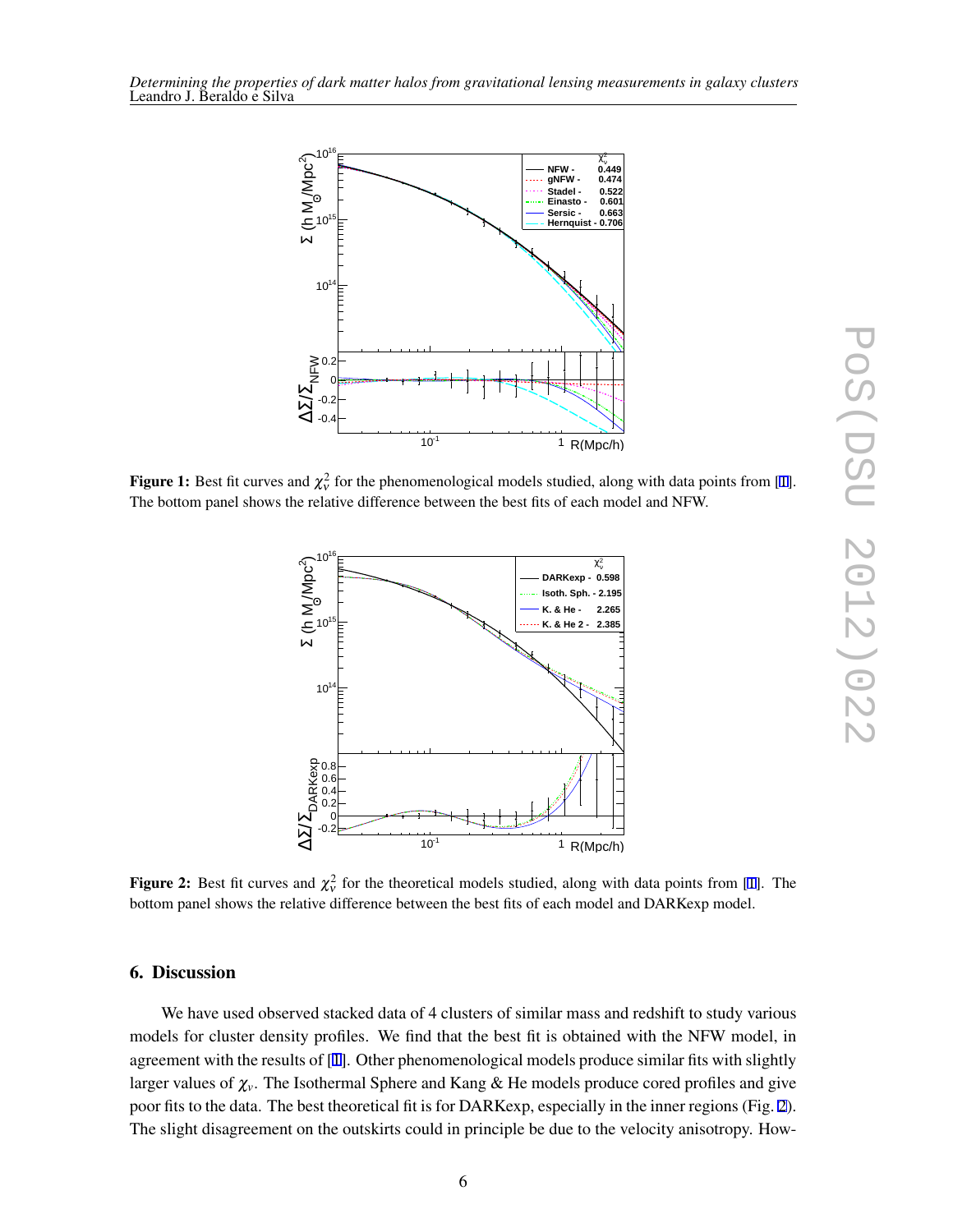<span id="page-5-0"></span>

**Figure 1:** Best fit curves and  $\chi^2_v$  for the phenomenological models studied, along with data points from [\[1](#page-6-0)]. The bottom panel shows the relative difference between the best fits of each model and NFW.



**Figure 2:** Best fit curves and  $\chi^2_v$  for the theoretical models studied, along with data points from [[1\]](#page-6-0). The bottom panel shows the relative difference between the best fits of each model and DARKexp model.

#### 6. Discussion

We have used observed stacked data of 4 clusters of similar mass and redshift to study various models for cluster density profiles. We find that the best fit is obtained with the NFW model, in agreement with the results of [[1](#page-6-0)]. Other phenomenological models produce similar fits with slightly larger values of <sup>χ</sup>*v*. The Isothermal Sphere and Kang & He models produce cored profiles and give poor fits to the data. The best theoretical fit is for DARKexp, especially in the inner regions (Fig. 2). The slight disagreement on the outskirts could in principle be due to the velocity anisotropy. How-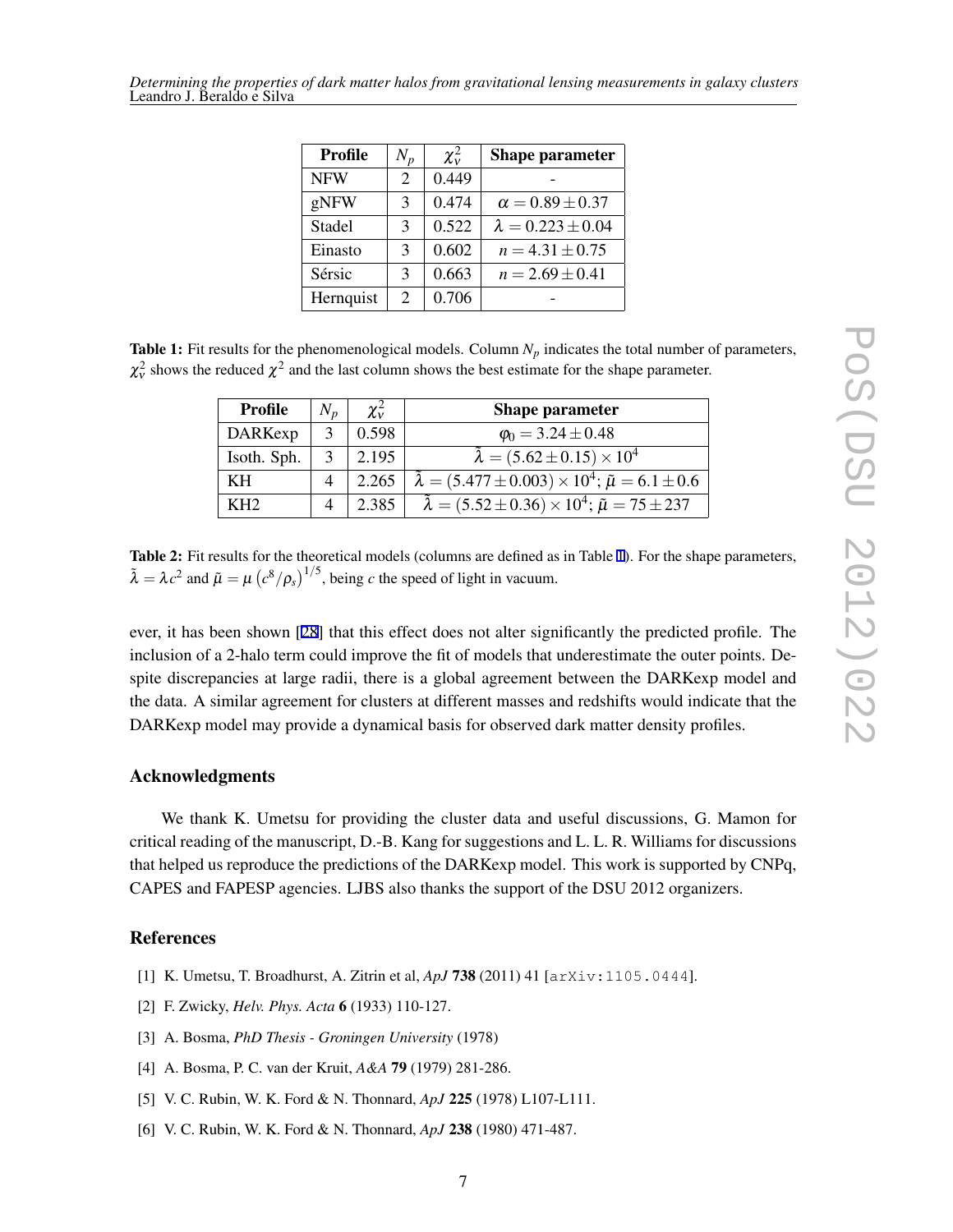<span id="page-6-0"></span>*Determining the properties of dark matter halos from gravitational lensing measurements in galaxy clusters* Leandro J. Beraldo e Silva

| <b>Profile</b> | $N_p$          | $\chi^2_{\rm v}$ | Shape parameter            |
|----------------|----------------|------------------|----------------------------|
| <b>NFW</b>     | $\overline{2}$ | 0.449            |                            |
| gNFW           | 3              | 0.474            | $\alpha = 0.89 \pm 0.37$   |
| Stadel         | 3              | 0.522            | $\lambda = 0.223 \pm 0.04$ |
| Einasto        | 3              | 0.602            | $n = 4.31 \pm 0.75$        |
| Sérsic         | 3              | 0.663            | $n = 2.69 \pm 0.41$        |
| Hernquist      | 2              | 0.706            |                            |

**Table 1:** Fit results for the phenomenological models. Column  $N_p$  indicates the total number of parameters,  $\chi^2_{\rm v}$  shows the reduced  $\chi^2$  and the last column shows the best estimate for the shape parameter.

| <b>Profile</b>  | $N_p$ | $\chi^2_{\rm v}$ | <b>Shape parameter</b>                                                          |
|-----------------|-------|------------------|---------------------------------------------------------------------------------|
| DARKexp         |       | 0.598            | $\varphi_0 = 3.24 \pm 0.48$                                                     |
| Isoth. Sph.     |       | 2.195            | $\tilde{\lambda} = (5.62 \pm 0.15) \times 10^4$                                 |
| KH              |       | 2.265            | $\tilde{\lambda} = (5.477 \pm 0.003) \times 10^4$ ; $\tilde{\mu} = 6.1 \pm 0.6$ |
| KH <sub>2</sub> |       | 2.385            | $\tilde{\lambda} = (5.52 \pm 0.36) \times 10^4$ ; $\tilde{\mu} = 75 \pm 237$    |

Table 2: Fit results for the theoretical models (columns are defined as in Table 1). For the shape parameters,  $\tilde{\lambda} = \lambda c^2$  and  $\tilde{\mu} = \mu \left( c^8 / \rho_s \right)^{1/5}$ , being *c* the speed of light in vacuum.

ever, it has been shown [[28](#page-7-0)] that this effect does not alter significantly the predicted profile. The inclusion of a 2-halo term could improve the fit of models that underestimate the outer points. Despite discrepancies at large radii, there is a global agreement between the DARKexp model and the data. A similar agreement for clusters at different masses and redshifts would indicate that the DARKexp model may provide a dynamical basis for observed dark matter density profiles.

# Acknowledgments

We thank K. Umetsu for providing the cluster data and useful discussions, G. Mamon for critical reading of the manuscript, D.-B. Kang for suggestions and L. L. R. Williams for discussions that helped us reproduce the predictions of the DARKexp model. This work is supported by CNPq, CAPES and FAPESP agencies. LJBS also thanks the support of the DSU 2012 organizers.

#### References

- [1] K. Umetsu, T. Broadhurst, A. Zitrin et al, *ApJ* 738 (2011) 41 [arXiv:1105.0444].
- [2] F. Zwicky, *Helv. Phys. Acta* 6 (1933) 110-127.
- [3] A. Bosma, *PhD Thesis Groningen University* (1978)
- [4] A. Bosma, P. C. van der Kruit, *A&A* 79 (1979) 281-286.
- [5] V. C. Rubin, W. K. Ford & N. Thonnard, *ApJ* 225 (1978) L107-L111.
- [6] V. C. Rubin, W. K. Ford & N. Thonnard, *ApJ* 238 (1980) 471-487.